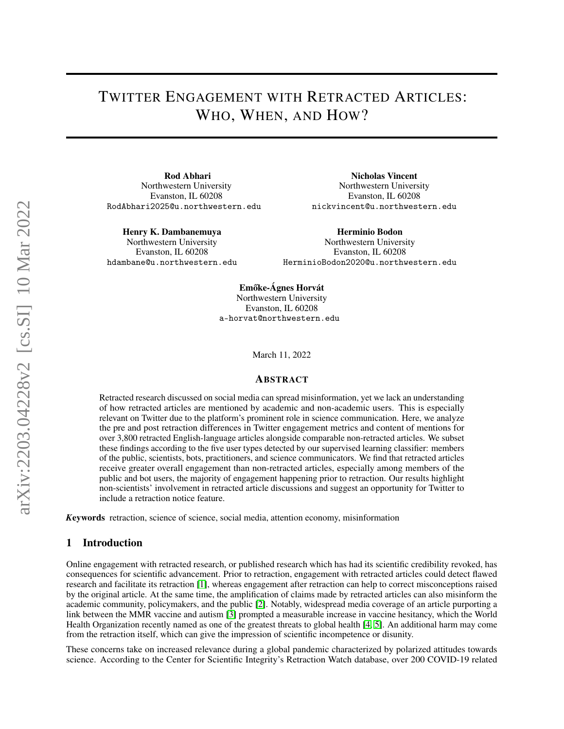# TWITTER ENGAGEMENT WITH RETRACTED ARTICLES: WHO, WHEN, AND HOW?

Rod Abhari Northwestern University Evanston, IL 60208 RodAbhari2025@u.northwestern.edu

Henry K. Dambanemuya

Northwestern University Evanston, IL 60208 hdambane@u.northwestern.edu

Nicholas Vincent Northwestern University Evanston, IL 60208 nickvincent@u.northwestern.edu

Herminio Bodon Northwestern University Evanston, IL 60208 HerminioBodon2020@u.northwestern.edu

Emőke-Ágnes Horvát Northwestern University Evanston, IL 60208 a-horvat@northwestern.edu

March 11, 2022

### ABSTRACT

Retracted research discussed on social media can spread misinformation, yet we lack an understanding of how retracted articles are mentioned by academic and non-academic users. This is especially relevant on Twitter due to the platform's prominent role in science communication. Here, we analyze the pre and post retraction differences in Twitter engagement metrics and content of mentions for over 3,800 retracted English-language articles alongside comparable non-retracted articles. We subset these findings according to the five user types detected by our supervised learning classifier: members of the public, scientists, bots, practitioners, and science communicators. We find that retracted articles receive greater overall engagement than non-retracted articles, especially among members of the public and bot users, the majority of engagement happening prior to retraction. Our results highlight non-scientists' involvement in retracted article discussions and suggest an opportunity for Twitter to include a retraction notice feature.

*K*eywords retraction, science of science, social media, attention economy, misinformation

#### 1 Introduction

Online engagement with retracted research, or published research which has had its scientific credibility revoked, has consequences for scientific advancement. Prior to retraction, engagement with retracted articles could detect flawed research and facilitate its retraction [\[1\]](#page-12-0), whereas engagement after retraction can help to correct misconceptions raised by the original article. At the same time, the amplification of claims made by retracted articles can also misinform the academic community, policymakers, and the public [\[2\]](#page-12-1). Notably, widespread media coverage of an article purporting a link between the MMR vaccine and autism [\[3\]](#page-12-2) prompted a measurable increase in vaccine hesitancy, which the World Health Organization recently named as one of the greatest threats to global health [\[4,](#page-12-3) [5\]](#page-12-4). An additional harm may come from the retraction itself, which can give the impression of scientific incompetence or disunity.

These concerns take on increased relevance during a global pandemic characterized by polarized attitudes towards science. According to the Center for Scientific Integrity's Retraction Watch database, over 200 COVID-19 related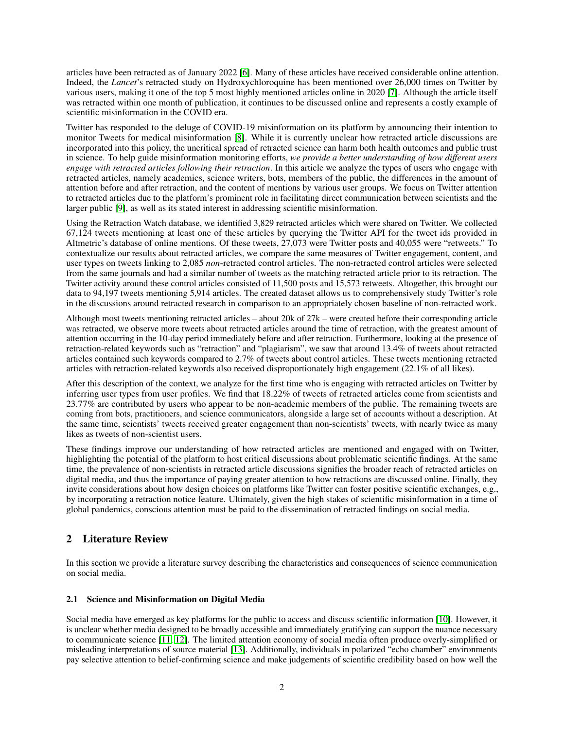articles have been retracted as of January 2022 [\[6\]](#page-12-5). Many of these articles have received considerable online attention. Indeed, the *Lancet*'s retracted study on Hydroxychloroquine has been mentioned over 26,000 times on Twitter by various users, making it one of the top 5 most highly mentioned articles online in 2020 [\[7\]](#page-12-6). Although the article itself was retracted within one month of publication, it continues to be discussed online and represents a costly example of scientific misinformation in the COVID era.

Twitter has responded to the deluge of COVID-19 misinformation on its platform by announcing their intention to monitor Tweets for medical misinformation [\[8\]](#page-12-7). While it is currently unclear how retracted article discussions are incorporated into this policy, the uncritical spread of retracted science can harm both health outcomes and public trust in science. To help guide misinformation monitoring efforts, *we provide a better understanding of how different users engage with retracted articles following their retraction*. In this article we analyze the types of users who engage with retracted articles, namely academics, science writers, bots, members of the public, the differences in the amount of attention before and after retraction, and the content of mentions by various user groups. We focus on Twitter attention to retracted articles due to the platform's prominent role in facilitating direct communication between scientists and the larger public [\[9\]](#page-12-8), as well as its stated interest in addressing scientific misinformation.

Using the Retraction Watch database, we identified 3,829 retracted articles which were shared on Twitter. We collected 67,124 tweets mentioning at least one of these articles by querying the Twitter API for the tweet ids provided in Altmetric's database of online mentions. Of these tweets, 27,073 were Twitter posts and 40,055 were "retweets." To contextualize our results about retracted articles, we compare the same measures of Twitter engagement, content, and user types on tweets linking to 2,085 *non*-retracted control articles. The non-retracted control articles were selected from the same journals and had a similar number of tweets as the matching retracted article prior to its retraction. The Twitter activity around these control articles consisted of 11,500 posts and 15,573 retweets. Altogether, this brought our data to 94,197 tweets mentioning 5,914 articles. The created dataset allows us to comprehensively study Twitter's role in the discussions around retracted research in comparison to an appropriately chosen baseline of non-retracted work.

Although most tweets mentioning retracted articles – about 20k of 27k – were created before their corresponding article was retracted, we observe more tweets about retracted articles around the time of retraction, with the greatest amount of attention occurring in the 10-day period immediately before and after retraction. Furthermore, looking at the presence of retraction-related keywords such as "retraction" and "plagiarism", we saw that around 13.4% of tweets about retracted articles contained such keywords compared to 2.7% of tweets about control articles. These tweets mentioning retracted articles with retraction-related keywords also received disproportionately high engagement (22.1% of all likes).

After this description of the context, we analyze for the first time who is engaging with retracted articles on Twitter by inferring user types from user profiles. We find that 18.22% of tweets of retracted articles come from scientists and 23.77% are contributed by users who appear to be non-academic members of the public. The remaining tweets are coming from bots, practitioners, and science communicators, alongside a large set of accounts without a description. At the same time, scientists' tweets received greater engagement than non-scientists' tweets, with nearly twice as many likes as tweets of non-scientist users.

These findings improve our understanding of how retracted articles are mentioned and engaged with on Twitter, highlighting the potential of the platform to host critical discussions about problematic scientific findings. At the same time, the prevalence of non-scientists in retracted article discussions signifies the broader reach of retracted articles on digital media, and thus the importance of paying greater attention to how retractions are discussed online. Finally, they invite considerations about how design choices on platforms like Twitter can foster positive scientific exchanges, e.g., by incorporating a retraction notice feature. Ultimately, given the high stakes of scientific misinformation in a time of global pandemics, conscious attention must be paid to the dissemination of retracted findings on social media.

# 2 Literature Review

In this section we provide a literature survey describing the characteristics and consequences of science communication on social media.

# 2.1 Science and Misinformation on Digital Media

Social media have emerged as key platforms for the public to access and discuss scientific information [\[10\]](#page-12-9). However, it is unclear whether media designed to be broadly accessible and immediately gratifying can support the nuance necessary to communicate science [\[11,](#page-12-10) [12\]](#page-12-11). The limited attention economy of social media often produce overly-simplified or misleading interpretations of source material [\[13\]](#page-12-12). Additionally, individuals in polarized "echo chamber" environments pay selective attention to belief-confirming science and make judgements of scientific credibility based on how well the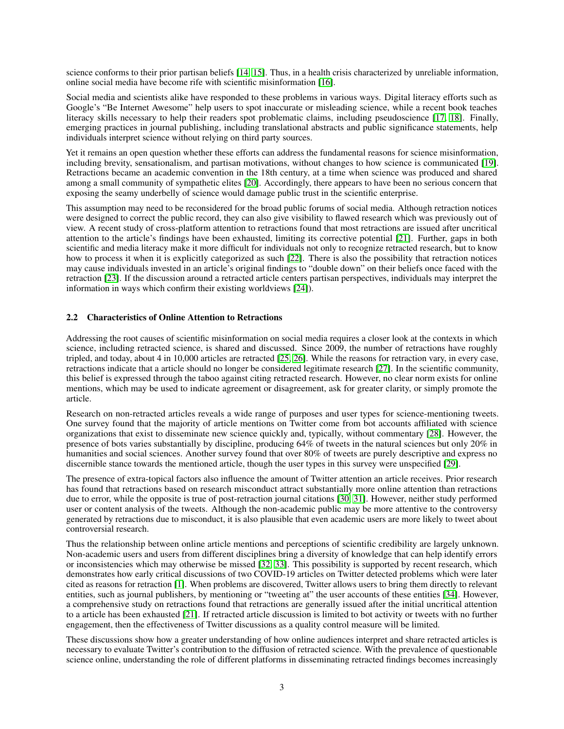science conforms to their prior partisan beliefs [\[14,](#page-12-13) [15\]](#page-12-14). Thus, in a health crisis characterized by unreliable information, online social media have become rife with scientific misinformation [\[16\]](#page-12-15).

Social media and scientists alike have responded to these problems in various ways. Digital literacy efforts such as Google's "Be Internet Awesome" help users to spot inaccurate or misleading science, while a recent book teaches literacy skills necessary to help their readers spot problematic claims, including pseudoscience [\[17,](#page-12-16) [18\]](#page-12-17). Finally, emerging practices in journal publishing, including translational abstracts and public significance statements, help individuals interpret science without relying on third party sources.

Yet it remains an open question whether these efforts can address the fundamental reasons for science misinformation, including brevity, sensationalism, and partisan motivations, without changes to how science is communicated [\[19\]](#page-12-18). Retractions became an academic convention in the 18th century, at a time when science was produced and shared among a small community of sympathetic elites [\[20\]](#page-12-19). Accordingly, there appears to have been no serious concern that exposing the seamy underbelly of science would damage public trust in the scientific enterprise.

This assumption may need to be reconsidered for the broad public forums of social media. Although retraction notices were designed to correct the public record, they can also give visibility to flawed research which was previously out of view. A recent study of cross-platform attention to retractions found that most retractions are issued after uncritical attention to the article's findings have been exhausted, limiting its corrective potential [\[21\]](#page-12-20). Further, gaps in both scientific and media literacy make it more difficult for individuals not only to recognize retracted research, but to know how to process it when it is explicitly categorized as such [\[22\]](#page-12-21). There is also the possibility that retraction notices may cause individuals invested in an article's original findings to "double down" on their beliefs once faced with the retraction [\[23\]](#page-12-22). If the discussion around a retracted article centers partisan perspectives, individuals may interpret the information in ways which confirm their existing worldviews [\[24\]](#page-12-23)).

#### 2.2 Characteristics of Online Attention to Retractions

Addressing the root causes of scientific misinformation on social media requires a closer look at the contexts in which science, including retracted science, is shared and discussed. Since 2009, the number of retractions have roughly tripled, and today, about 4 in 10,000 articles are retracted [\[25,](#page-13-0) [26\]](#page-13-1). While the reasons for retraction vary, in every case, retractions indicate that a article should no longer be considered legitimate research [\[27\]](#page-13-2). In the scientific community, this belief is expressed through the taboo against citing retracted research. However, no clear norm exists for online mentions, which may be used to indicate agreement or disagreement, ask for greater clarity, or simply promote the article.

Research on non-retracted articles reveals a wide range of purposes and user types for science-mentioning tweets. One survey found that the majority of article mentions on Twitter come from bot accounts affiliated with science organizations that exist to disseminate new science quickly and, typically, without commentary [\[28\]](#page-13-3). However, the presence of bots varies substantially by discipline, producing 64% of tweets in the natural sciences but only 20% in humanities and social sciences. Another survey found that over 80% of tweets are purely descriptive and express no discernible stance towards the mentioned article, though the user types in this survey were unspecified [\[29\]](#page-13-4).

The presence of extra-topical factors also influence the amount of Twitter attention an article receives. Prior research has found that retractions based on research misconduct attract substantially more online attention than retractions due to error, while the opposite is true of post-retraction journal citations [\[30,](#page-13-5) [31\]](#page-13-6). However, neither study performed user or content analysis of the tweets. Although the non-academic public may be more attentive to the controversy generated by retractions due to misconduct, it is also plausible that even academic users are more likely to tweet about controversial research.

Thus the relationship between online article mentions and perceptions of scientific credibility are largely unknown. Non-academic users and users from different disciplines bring a diversity of knowledge that can help identify errors or inconsistencies which may otherwise be missed [\[32,](#page-13-7) [33\]](#page-13-8). This possibility is supported by recent research, which demonstrates how early critical discussions of two COVID-19 articles on Twitter detected problems which were later cited as reasons for retraction [\[1\]](#page-12-0). When problems are discovered, Twitter allows users to bring them directly to relevant entities, such as journal publishers, by mentioning or "tweeting at" the user accounts of these entities [\[34\]](#page-13-9). However, a comprehensive study on retractions found that retractions are generally issued after the initial uncritical attention to a article has been exhausted [\[21\]](#page-12-20). If retracted article discussion is limited to bot activity or tweets with no further engagement, then the effectiveness of Twitter discussions as a quality control measure will be limited.

These discussions show how a greater understanding of how online audiences interpret and share retracted articles is necessary to evaluate Twitter's contribution to the diffusion of retracted science. With the prevalence of questionable science online, understanding the role of different platforms in disseminating retracted findings becomes increasingly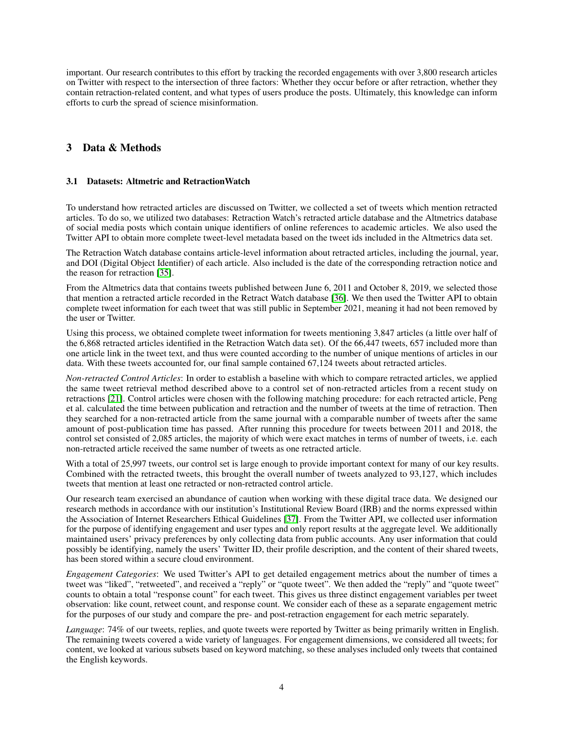important. Our research contributes to this effort by tracking the recorded engagements with over 3,800 research articles on Twitter with respect to the intersection of three factors: Whether they occur before or after retraction, whether they contain retraction-related content, and what types of users produce the posts. Ultimately, this knowledge can inform efforts to curb the spread of science misinformation.

# 3 Data & Methods

### 3.1 Datasets: Altmetric and RetractionWatch

To understand how retracted articles are discussed on Twitter, we collected a set of tweets which mention retracted articles. To do so, we utilized two databases: Retraction Watch's retracted article database and the Altmetrics database of social media posts which contain unique identifiers of online references to academic articles. We also used the Twitter API to obtain more complete tweet-level metadata based on the tweet ids included in the Altmetrics data set.

The Retraction Watch database contains article-level information about retracted articles, including the journal, year, and DOI (Digital Object Identifier) of each article. Also included is the date of the corresponding retraction notice and the reason for retraction [\[35\]](#page-13-10).

From the Altmetrics data that contains tweets published between June 6, 2011 and October 8, 2019, we selected those that mention a retracted article recorded in the Retract Watch database [\[36\]](#page-13-11). We then used the Twitter API to obtain complete tweet information for each tweet that was still public in September 2021, meaning it had not been removed by the user or Twitter.

Using this process, we obtained complete tweet information for tweets mentioning 3,847 articles (a little over half of the 6,868 retracted articles identified in the Retraction Watch data set). Of the 66,447 tweets, 657 included more than one article link in the tweet text, and thus were counted according to the number of unique mentions of articles in our data. With these tweets accounted for, our final sample contained 67,124 tweets about retracted articles.

*Non-retracted Control Articles*: In order to establish a baseline with which to compare retracted articles, we applied the same tweet retrieval method described above to a control set of non-retracted articles from a recent study on retractions [\[21\]](#page-12-20). Control articles were chosen with the following matching procedure: for each retracted article, Peng et al. calculated the time between publication and retraction and the number of tweets at the time of retraction. Then they searched for a non-retracted article from the same journal with a comparable number of tweets after the same amount of post-publication time has passed. After running this procedure for tweets between 2011 and 2018, the control set consisted of 2,085 articles, the majority of which were exact matches in terms of number of tweets, i.e. each non-retracted article received the same number of tweets as one retracted article.

With a total of 25,997 tweets, our control set is large enough to provide important context for many of our key results. Combined with the retracted tweets, this brought the overall number of tweets analyzed to 93,127, which includes tweets that mention at least one retracted or non-retracted control article.

Our research team exercised an abundance of caution when working with these digital trace data. We designed our research methods in accordance with our institution's Institutional Review Board (IRB) and the norms expressed within the Association of Internet Researchers Ethical Guidelines [\[37\]](#page-13-12). From the Twitter API, we collected user information for the purpose of identifying engagement and user types and only report results at the aggregate level. We additionally maintained users' privacy preferences by only collecting data from public accounts. Any user information that could possibly be identifying, namely the users' Twitter ID, their profile description, and the content of their shared tweets, has been stored within a secure cloud environment.

*Engagement Categories*: We used Twitter's API to get detailed engagement metrics about the number of times a tweet was "liked", "retweeted", and received a "reply" or "quote tweet". We then added the "reply" and "quote tweet" counts to obtain a total "response count" for each tweet. This gives us three distinct engagement variables per tweet observation: like count, retweet count, and response count. We consider each of these as a separate engagement metric for the purposes of our study and compare the pre- and post-retraction engagement for each metric separately.

*Language*: 74% of our tweets, replies, and quote tweets were reported by Twitter as being primarily written in English. The remaining tweets covered a wide variety of languages. For engagement dimensions, we considered all tweets; for content, we looked at various subsets based on keyword matching, so these analyses included only tweets that contained the English keywords.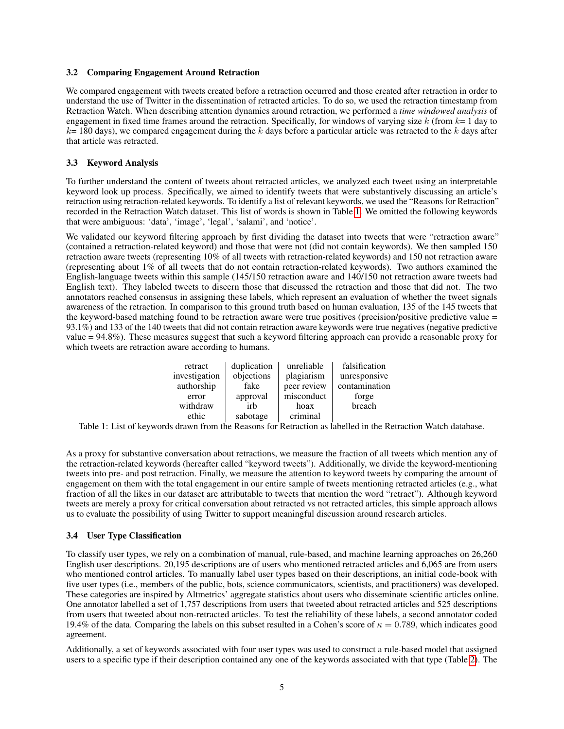#### 3.2 Comparing Engagement Around Retraction

We compared engagement with tweets created before a retraction occurred and those created after retraction in order to understand the use of Twitter in the dissemination of retracted articles. To do so, we used the retraction timestamp from Retraction Watch. When describing attention dynamics around retraction, we performed a *time windowed analysis* of engagement in fixed time frames around the retraction. Specifically, for windows of varying size  $k$  (from  $k=1$  day to  $k= 180$  days), we compared engagement during the k days before a particular article was retracted to the k days after that article was retracted.

#### 3.3 Keyword Analysis

To further understand the content of tweets about retracted articles, we analyzed each tweet using an interpretable keyword look up process. Specifically, we aimed to identify tweets that were substantively discussing an article's retraction using retraction-related keywords. To identify a list of relevant keywords, we used the "Reasons for Retraction" recorded in the Retraction Watch dataset. This list of words is shown in Table [1.](#page-4-0) We omitted the following keywords that were ambiguous: 'data', 'image', 'legal', 'salami', and 'notice'.

We validated our keyword filtering approach by first dividing the dataset into tweets that were "retraction aware" (contained a retraction-related keyword) and those that were not (did not contain keywords). We then sampled 150 retraction aware tweets (representing 10% of all tweets with retraction-related keywords) and 150 not retraction aware (representing about 1% of all tweets that do not contain retraction-related keywords). Two authors examined the English-language tweets within this sample (145/150 retraction aware and 140/150 not retraction aware tweets had English text). They labeled tweets to discern those that discussed the retraction and those that did not. The two annotators reached consensus in assigning these labels, which represent an evaluation of whether the tweet signals awareness of the retraction. In comparison to this ground truth based on human evaluation, 135 of the 145 tweets that the keyword-based matching found to be retraction aware were true positives (precision/positive predictive value = 93.1%) and 133 of the 140 tweets that did not contain retraction aware keywords were true negatives (negative predictive value = 94.8%). These measures suggest that such a keyword filtering approach can provide a reasonable proxy for which tweets are retraction aware according to humans.

| retract       | duplication | unreliable  | falsification |
|---------------|-------------|-------------|---------------|
| investigation | objections  | plagiarism  | unresponsive  |
| authorship    | fake        | peer review | contamination |
| error         | approval    | misconduct  | forge         |
| withdraw      | irh         | hoax        | breach        |
| ethic         | sabotage    | criminal    |               |

<span id="page-4-0"></span>Table 1: List of keywords drawn from the Reasons for Retraction as labelled in the Retraction Watch database.

As a proxy for substantive conversation about retractions, we measure the fraction of all tweets which mention any of the retraction-related keywords (hereafter called "keyword tweets"). Additionally, we divide the keyword-mentioning tweets into pre- and post retraction. Finally, we measure the attention to keyword tweets by comparing the amount of engagement on them with the total engagement in our entire sample of tweets mentioning retracted articles (e.g., what fraction of all the likes in our dataset are attributable to tweets that mention the word "retract"). Although keyword tweets are merely a proxy for critical conversation about retracted vs not retracted articles, this simple approach allows us to evaluate the possibility of using Twitter to support meaningful discussion around research articles.

#### 3.4 User Type Classification

To classify user types, we rely on a combination of manual, rule-based, and machine learning approaches on 26,260 English user descriptions. 20,195 descriptions are of users who mentioned retracted articles and 6,065 are from users who mentioned control articles. To manually label user types based on their descriptions, an initial code-book with five user types (i.e., members of the public, bots, science communicators, scientists, and practitioners) was developed. These categories are inspired by Altmetrics' aggregate statistics about users who disseminate scientific articles online. One annotator labelled a set of 1,757 descriptions from users that tweeted about retracted articles and 525 descriptions from users that tweeted about non-retracted articles. To test the reliability of these labels, a second annotator coded 19.4% of the data. Comparing the labels on this subset resulted in a Cohen's score of  $\kappa = 0.789$ , which indicates good agreement.

Additionally, a set of keywords associated with four user types was used to construct a rule-based model that assigned users to a specific type if their description contained any one of the keywords associated with that type (Table [2\)](#page-5-0). The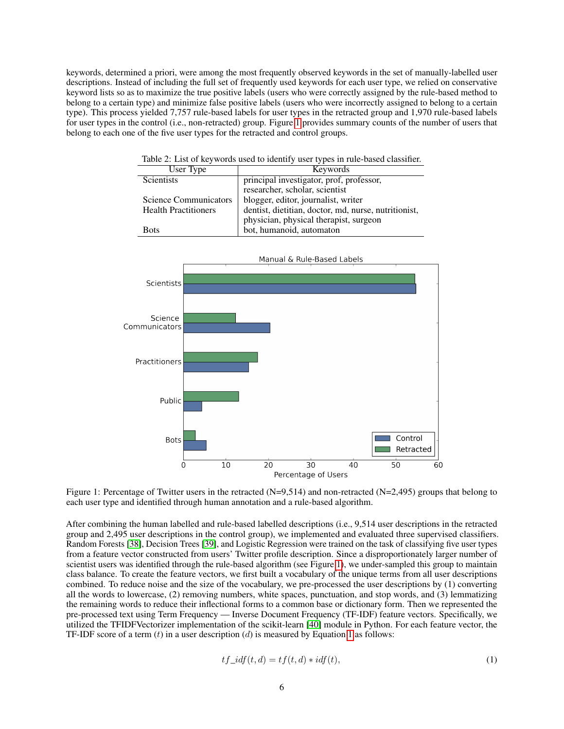keywords, determined a priori, were among the most frequently observed keywords in the set of manually-labelled user descriptions. Instead of including the full set of frequently used keywords for each user type, we relied on conservative keyword lists so as to maximize the true positive labels (users who were correctly assigned by the rule-based method to belong to a certain type) and minimize false positive labels (users who were incorrectly assigned to belong to a certain type). This process yielded 7,757 rule-based labels for user types in the retracted group and 1,970 rule-based labels for user types in the control (i.e., non-retracted) group. Figure [1](#page-5-1) provides summary counts of the number of users that belong to each one of the five user types for the retracted and control groups.

<span id="page-5-0"></span>

Table 2: List of keywords used to identify user types in rule-based classifier.

<span id="page-5-1"></span>

Figure 1: Percentage of Twitter users in the retracted (N=9,514) and non-retracted (N=2,495) groups that belong to each user type and identified through human annotation and a rule-based algorithm.

After combining the human labelled and rule-based labelled descriptions (i.e., 9,514 user descriptions in the retracted group and 2,495 user descriptions in the control group), we implemented and evaluated three supervised classifiers. Random Forests [\[38\]](#page-13-13), Decision Trees [\[39\]](#page-13-14), and Logistic Regression were trained on the task of classifying five user types from a feature vector constructed from users' Twitter profile description. Since a disproportionately larger number of scientist users was identified through the rule-based algorithm (see Figure [1\)](#page-5-1), we under-sampled this group to maintain class balance. To create the feature vectors, we first built a vocabulary of the unique terms from all user descriptions combined. To reduce noise and the size of the vocabulary, we pre-processed the user descriptions by (1) converting all the words to lowercase, (2) removing numbers, white spaces, punctuation, and stop words, and (3) lemmatizing the remaining words to reduce their inflectional forms to a common base or dictionary form. Then we represented the pre-processed text using Term Frequency — Inverse Document Frequency (TF-IDF) feature vectors. Specifically, we utilized the TFIDFVectorizer implementation of the scikit-learn [\[40\]](#page-13-15) module in Python. For each feature vector, the TF-IDF score of a term  $(t)$  in a user description  $(d)$  is measured by Equation [1](#page-5-2) as follows:

<span id="page-5-2"></span>
$$
tf\_idf(t,d) = tf(t,d) * idf(t),
$$
\n<sup>(1)</sup>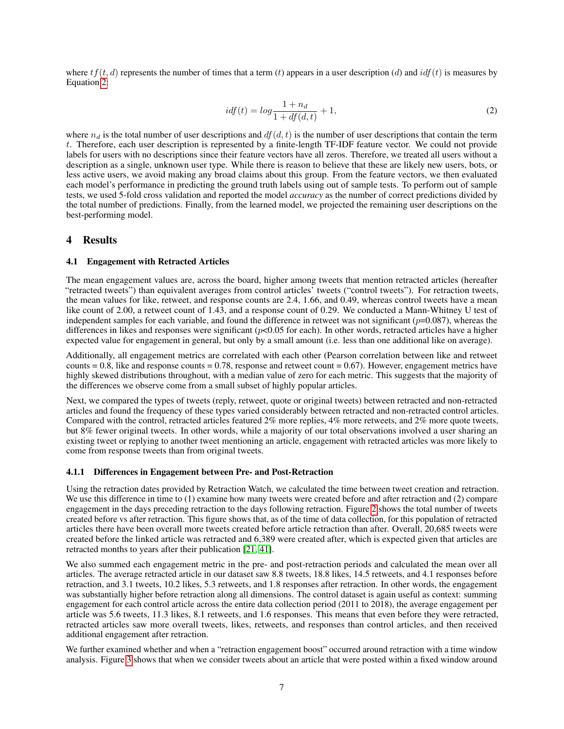where  $tf(t, d)$  represents the number of times that a term (t) appears in a user description (d) and  $idf(t)$  is measures by Equation [2:](#page-6-0)

<span id="page-6-0"></span>
$$
idf(t) = log \frac{1 + n_d}{1 + df(d, t)} + 1,
$$
\n(2)

where  $n_d$  is the total number of user descriptions and  $df(d, t)$  is the number of user descriptions that contain the term t. Therefore, each user description is represented by a finite-length TF-IDF feature vector. We could not provide labels for users with no descriptions since their feature vectors have all zeros. Therefore, we treated all users without a description as a single, unknown user type. While there is reason to believe that these are likely new users, bots, or less active users, we avoid making any broad claims about this group. From the feature vectors, we then evaluated each model's performance in predicting the ground truth labels using out of sample tests. To perform out of sample tests, we used 5-fold cross validation and reported the model *accuracy* as the number of correct predictions divided by the total number of predictions. Finally, from the learned model, we projected the remaining user descriptions on the best-performing model.

#### 4 Results

#### 4.1 Engagement with Retracted Articles

The mean engagement values are, across the board, higher among tweets that mention retracted articles (hereafter "retracted tweets") than equivalent averages from control articles' tweets ("control tweets"). For retraction tweets, the mean values for like, retweet, and response counts are 2.4, 1.66, and 0.49, whereas control tweets have a mean like count of 2.00, a retweet count of 1.43, and a response count of 0.29. We conducted a Mann-Whitney U test of independent samples for each variable, and found the difference in retweet was not significant ( $p=0.087$ ), whereas the differences in likes and responses were significant  $(p<0.05$  for each). In other words, retracted articles have a higher expected value for engagement in general, but only by a small amount (i.e. less than one additional like on average).

Additionally, all engagement metrics are correlated with each other (Pearson correlation between like and retweet counts  $= 0.8$ , like and response counts  $= 0.78$ , response and retweet count  $= 0.67$ ). However, engagement metrics have highly skewed distributions throughout, with a median value of zero for each metric. This suggests that the majority of the differences we observe come from a small subset of highly popular articles.

Next, we compared the types of tweets (reply, retweet, quote or original tweets) between retracted and non-retracted articles and found the frequency of these types varied considerably between retracted and non-retracted control articles. Compared with the control, retracted articles featured 2% more replies, 4% more retweets, and 2% more quote tweets, but 8% fewer original tweets. In other words, while a majority of our total observations involved a user sharing an existing tweet or replying to another tweet mentioning an article, engagement with retracted articles was more likely to come from response tweets than from original tweets.

#### 4.1.1 Differences in Engagement between Pre- and Post-Retraction

Using the retraction dates provided by Retraction Watch, we calculated the time between tweet creation and retraction. We use this difference in time to (1) examine how many tweets were created before and after retraction and (2) compare engagement in the days preceding retraction to the days following retraction. Figure [2](#page-7-0) shows the total number of tweets created before vs after retraction. This figure shows that, as of the time of data collection, for this population of retracted articles there have been overall more tweets created before article retraction than after. Overall, 20,685 tweets were created before the linked article was retracted and 6,389 were created after, which is expected given that articles are retracted months to years after their publication [\[21,](#page-12-20) [41\]](#page-13-16).

We also summed each engagement metric in the pre- and post-retraction periods and calculated the mean over all articles. The average retracted article in our dataset saw 8.8 tweets, 18.8 likes, 14.5 retweets, and 4.1 responses before retraction, and 3.1 tweets, 10.2 likes, 5.3 retweets, and 1.8 responses after retraction. In other words, the engagement was substantially higher before retraction along all dimensions. The control dataset is again useful as context: summing engagement for each control article across the entire data collection period (2011 to 2018), the average engagement per article was 5.6 tweets, 11.3 likes, 8.1 retweets, and 1.6 responses. This means that even before they were retracted, retracted articles saw more overall tweets, likes, retweets, and responses than control articles, and then received additional engagement after retraction.

We further examined whether and when a "retraction engagement boost" occurred around retraction with a time window analysis. Figure [3](#page-7-1) shows that when we consider tweets about an article that were posted within a fixed window around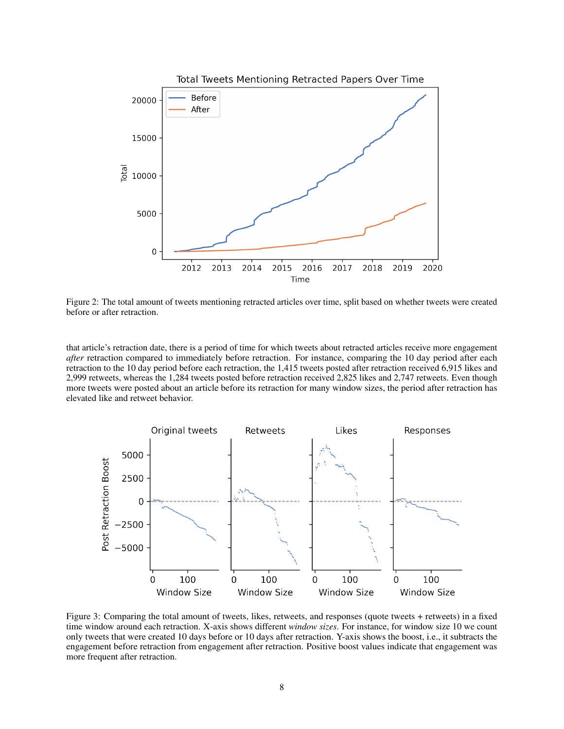<span id="page-7-0"></span>

Figure 2: The total amount of tweets mentioning retracted articles over time, split based on whether tweets were created before or after retraction.

that article's retraction date, there is a period of time for which tweets about retracted articles receive more engagement *after* retraction compared to immediately before retraction. For instance, comparing the 10 day period after each retraction to the 10 day period before each retraction, the 1,415 tweets posted after retraction received 6,915 likes and 2,999 retweets, whereas the 1,284 tweets posted before retraction received 2,825 likes and 2,747 retweets. Even though more tweets were posted about an article before its retraction for many window sizes, the period after retraction has elevated like and retweet behavior.

<span id="page-7-1"></span>

Figure 3: Comparing the total amount of tweets, likes, retweets, and responses (quote tweets + retweets) in a fixed time window around each retraction. X-axis shows different *window sizes*. For instance, for window size 10 we count only tweets that were created 10 days before or 10 days after retraction. Y-axis shows the boost, i.e., it subtracts the engagement before retraction from engagement after retraction. Positive boost values indicate that engagement was more frequent after retraction.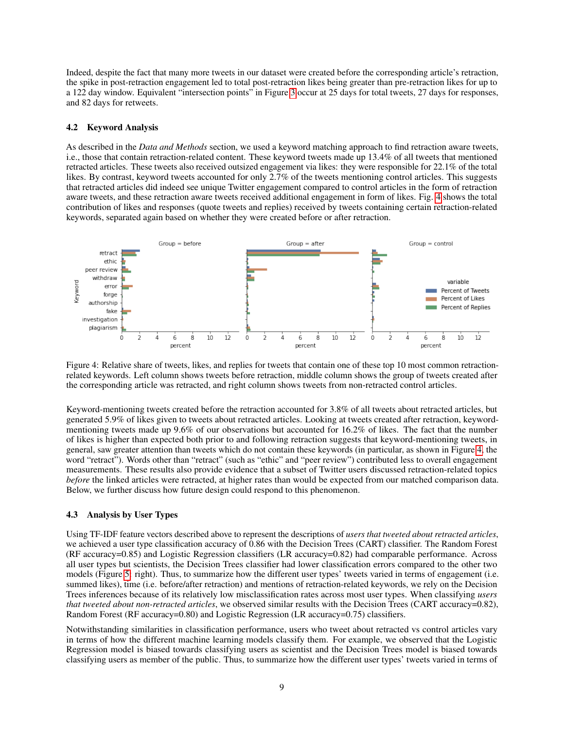Indeed, despite the fact that many more tweets in our dataset were created before the corresponding article's retraction, the spike in post-retraction engagement led to total post-retraction likes being greater than pre-retraction likes for up to a 122 day window. Equivalent "intersection points" in Figure [3](#page-7-1) occur at 25 days for total tweets, 27 days for responses, and 82 days for retweets.

#### 4.2 Keyword Analysis

As described in the *Data and Methods* section, we used a keyword matching approach to find retraction aware tweets, i.e., those that contain retraction-related content. These keyword tweets made up 13.4% of all tweets that mentioned retracted articles. These tweets also received outsized engagement via likes: they were responsible for 22.1% of the total likes. By contrast, keyword tweets accounted for only 2.7% of the tweets mentioning control articles. This suggests that retracted articles did indeed see unique Twitter engagement compared to control articles in the form of retraction aware tweets, and these retraction aware tweets received additional engagement in form of likes. Fig. [4](#page-8-0) shows the total contribution of likes and responses (quote tweets and replies) received by tweets containing certain retraction-related keywords, separated again based on whether they were created before or after retraction.

<span id="page-8-0"></span>

Figure 4: Relative share of tweets, likes, and replies for tweets that contain one of these top 10 most common retractionrelated keywords. Left column shows tweets before retraction, middle column shows the group of tweets created after the corresponding article was retracted, and right column shows tweets from non-retracted control articles.

Keyword-mentioning tweets created before the retraction accounted for 3.8% of all tweets about retracted articles, but generated 5.9% of likes given to tweets about retracted articles. Looking at tweets created after retraction, keywordmentioning tweets made up 9.6% of our observations but accounted for 16.2% of likes. The fact that the number of likes is higher than expected both prior to and following retraction suggests that keyword-mentioning tweets, in general, saw greater attention than tweets which do not contain these keywords (in particular, as shown in Figure [4,](#page-8-0) the word "retract"). Words other than "retract" (such as "ethic" and "peer review") contributed less to overall engagement measurements. These results also provide evidence that a subset of Twitter users discussed retraction-related topics *before* the linked articles were retracted, at higher rates than would be expected from our matched comparison data. Below, we further discuss how future design could respond to this phenomenon.

#### 4.3 Analysis by User Types

Using TF-IDF feature vectors described above to represent the descriptions of *users that tweeted about retracted articles*, we achieved a user type classification accuracy of 0.86 with the Decision Trees (CART) classifier. The Random Forest (RF accuracy=0.85) and Logistic Regression classifiers (LR accuracy=0.82) had comparable performance. Across all user types but scientists, the Decision Trees classifier had lower classification errors compared to the other two models (Figure [5:](#page-9-0) right). Thus, to summarize how the different user types' tweets varied in terms of engagement (i.e. summed likes), time (i.e. before/after retraction) and mentions of retraction-related keywords, we rely on the Decision Trees inferences because of its relatively low misclassification rates across most user types. When classifying *users that tweeted about non-retracted articles*, we observed similar results with the Decision Trees (CART accuracy=0.82), Random Forest (RF accuracy=0.80) and Logistic Regression (LR accuracy=0.75) classifiers.

Notwithstanding similarities in classification performance, users who tweet about retracted vs control articles vary in terms of how the different machine learning models classify them. For example, we observed that the Logistic Regression model is biased towards classifying users as scientist and the Decision Trees model is biased towards classifying users as member of the public. Thus, to summarize how the different user types' tweets varied in terms of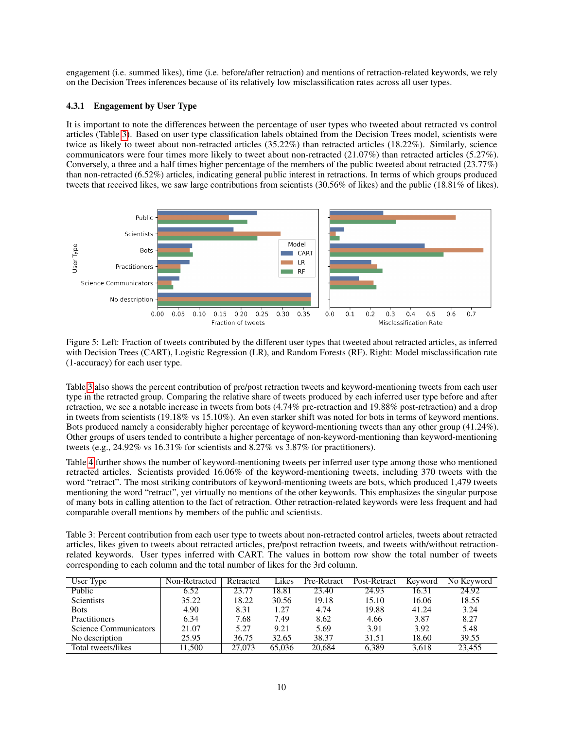engagement (i.e. summed likes), time (i.e. before/after retraction) and mentions of retraction-related keywords, we rely on the Decision Trees inferences because of its relatively low misclassification rates across all user types.

### 4.3.1 Engagement by User Type

It is important to note the differences between the percentage of user types who tweeted about retracted vs control articles (Table [3\)](#page-9-1). Based on user type classification labels obtained from the Decision Trees model, scientists were twice as likely to tweet about non-retracted articles (35.22%) than retracted articles (18.22%). Similarly, science communicators were four times more likely to tweet about non-retracted (21.07%) than retracted articles (5.27%). Conversely, a three and a half times higher percentage of the members of the public tweeted about retracted (23.77%) than non-retracted (6.52%) articles, indicating general public interest in retractions. In terms of which groups produced tweets that received likes, we saw large contributions from scientists (30.56% of likes) and the public (18.81% of likes).

<span id="page-9-0"></span>

Figure 5: Left: Fraction of tweets contributed by the different user types that tweeted about retracted articles, as inferred with Decision Trees (CART), Logistic Regression (LR), and Random Forests (RF). Right: Model misclassification rate (1-accuracy) for each user type.

Table [3](#page-9-1) also shows the percent contribution of pre/post retraction tweets and keyword-mentioning tweets from each user type in the retracted group. Comparing the relative share of tweets produced by each inferred user type before and after retraction, we see a notable increase in tweets from bots (4.74% pre-retraction and 19.88% post-retraction) and a drop in tweets from scientists (19.18% vs 15.10%). An even starker shift was noted for bots in terms of keyword mentions. Bots produced namely a considerably higher percentage of keyword-mentioning tweets than any other group (41.24%). Other groups of users tended to contribute a higher percentage of non-keyword-mentioning than keyword-mentioning tweets (e.g., 24.92% vs 16.31% for scientists and 8.27% vs 3.87% for practitioners).

Table [4](#page-10-0) further shows the number of keyword-mentioning tweets per inferred user type among those who mentioned retracted articles. Scientists provided 16.06% of the keyword-mentioning tweets, including 370 tweets with the word "retract". The most striking contributors of keyword-mentioning tweets are bots, which produced 1,479 tweets mentioning the word "retract", yet virtually no mentions of the other keywords. This emphasizes the singular purpose of many bots in calling attention to the fact of retraction. Other retraction-related keywords were less frequent and had comparable overall mentions by members of the public and scientists.

<span id="page-9-1"></span>Table 3: Percent contribution from each user type to tweets about non-retracted control articles, tweets about retracted articles, likes given to tweets about retracted articles, pre/post retraction tweets, and tweets with/without retractionrelated keywords. User types inferred with CART. The values in bottom row show the total number of tweets corresponding to each column and the total number of likes for the 3rd column.

| User Type             | Non-Retracted | Retracted | Likes  | Pre-Retract | Post-Retract | Keyword | No Keyword |
|-----------------------|---------------|-----------|--------|-------------|--------------|---------|------------|
| Public                | 6.52          | 23.77     | 18.81  | 23.40       | 24.93        | 16.31   | 24.92      |
| <b>Scientists</b>     | 35.22         | 18.22     | 30.56  | 19.18       | 15.10        | 16.06   | 18.55      |
| <b>Bots</b>           | 4.90          | 8.31      | 1.27   | 4.74        | 19.88        | 41.24   | 3.24       |
| <b>Practitioners</b>  | 6.34          | 7.68      | 7.49   | 8.62        | 4.66         | 3.87    | 8.27       |
| Science Communicators | 21.07         | 5.27      | 9.21   | 5.69        | 3.91         | 3.92    | 5.48       |
| No description        | 25.95         | 36.75     | 32.65  | 38.37       | 31.51        | 18.60   | 39.55      |
| Total tweets/likes    | 11.500        | 27.073    | 65,036 | 20.684      | 6.389        | 3.618   | 23.455     |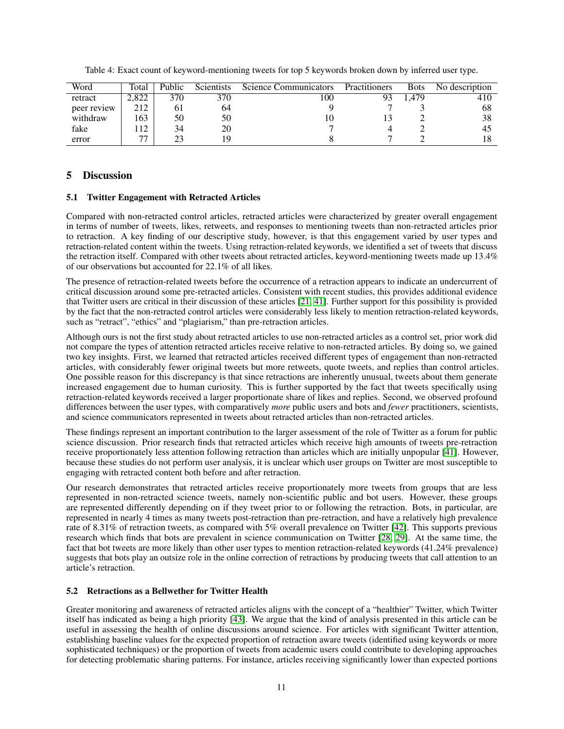| Word        | Total       | Public | <b>Scientists</b> | Science Communicators | Practitioners | Bots  | No description |
|-------------|-------------|--------|-------------------|-----------------------|---------------|-------|----------------|
| retract     | 2.822       | 370    | 370               | l 00                  | 93            | 1.479 | 410            |
| peer review | 212         |        | 64                |                       |               |       | 68             |
| withdraw    | 163         | 50     | 50                |                       |               |       | 38             |
| fake        | $1^{\circ}$ | 34     | 20                |                       |               |       | 45             |
| error       | 77          |        |                   |                       |               |       |                |

<span id="page-10-0"></span>Table 4: Exact count of keyword-mentioning tweets for top 5 keywords broken down by inferred user type.

# 5 Discussion

# 5.1 Twitter Engagement with Retracted Articles

Compared with non-retracted control articles, retracted articles were characterized by greater overall engagement in terms of number of tweets, likes, retweets, and responses to mentioning tweets than non-retracted articles prior to retraction. A key finding of our descriptive study, however, is that this engagement varied by user types and retraction-related content within the tweets. Using retraction-related keywords, we identified a set of tweets that discuss the retraction itself. Compared with other tweets about retracted articles, keyword-mentioning tweets made up 13.4% of our observations but accounted for 22.1% of all likes.

The presence of retraction-related tweets before the occurrence of a retraction appears to indicate an undercurrent of critical discussion around some pre-retracted articles. Consistent with recent studies, this provides additional evidence that Twitter users are critical in their discussion of these articles [\[21,](#page-12-20) [41\]](#page-13-16). Further support for this possibility is provided by the fact that the non-retracted control articles were considerably less likely to mention retraction-related keywords, such as "retract", "ethics" and "plagiarism," than pre-retraction articles.

Although ours is not the first study about retracted articles to use non-retracted articles as a control set, prior work did not compare the types of attention retracted articles receive relative to non-retracted articles. By doing so, we gained two key insights. First, we learned that retracted articles received different types of engagement than non-retracted articles, with considerably fewer original tweets but more retweets, quote tweets, and replies than control articles. One possible reason for this discrepancy is that since retractions are inherently unusual, tweets about them generate increased engagement due to human curiosity. This is further supported by the fact that tweets specifically using retraction-related keywords received a larger proportionate share of likes and replies. Second, we observed profound differences between the user types, with comparatively *more* public users and bots and *fewer* practitioners, scientists, and science communicators represented in tweets about retracted articles than non-retracted articles.

These findings represent an important contribution to the larger assessment of the role of Twitter as a forum for public science discussion. Prior research finds that retracted articles which receive high amounts of tweets pre-retraction receive proportionately less attention following retraction than articles which are initially unpopular [\[41\]](#page-13-16). However, because these studies do not perform user analysis, it is unclear which user groups on Twitter are most susceptible to engaging with retracted content both before and after retraction.

Our research demonstrates that retracted articles receive proportionately more tweets from groups that are less represented in non-retracted science tweets, namely non-scientific public and bot users. However, these groups are represented differently depending on if they tweet prior to or following the retraction. Bots, in particular, are represented in nearly 4 times as many tweets post-retraction than pre-retraction, and have a relatively high prevalence rate of 8.31% of retraction tweets, as compared with 5% overall prevalence on Twitter [\[42\]](#page-13-17). This supports previous research which finds that bots are prevalent in science communication on Twitter [\[28,](#page-13-3) [29\]](#page-13-4). At the same time, the fact that bot tweets are more likely than other user types to mention retraction-related keywords (41.24% prevalence) suggests that bots play an outsize role in the online correction of retractions by producing tweets that call attention to an article's retraction.

# 5.2 Retractions as a Bellwether for Twitter Health

Greater monitoring and awareness of retracted articles aligns with the concept of a "healthier" Twitter, which Twitter itself has indicated as being a high priority [\[43\]](#page-13-18). We argue that the kind of analysis presented in this article can be useful in assessing the health of online discussions around science. For articles with significant Twitter attention, establishing baseline values for the expected proportion of retraction aware tweets (identified using keywords or more sophisticated techniques) or the proportion of tweets from academic users could contribute to developing approaches for detecting problematic sharing patterns. For instance, articles receiving significantly lower than expected portions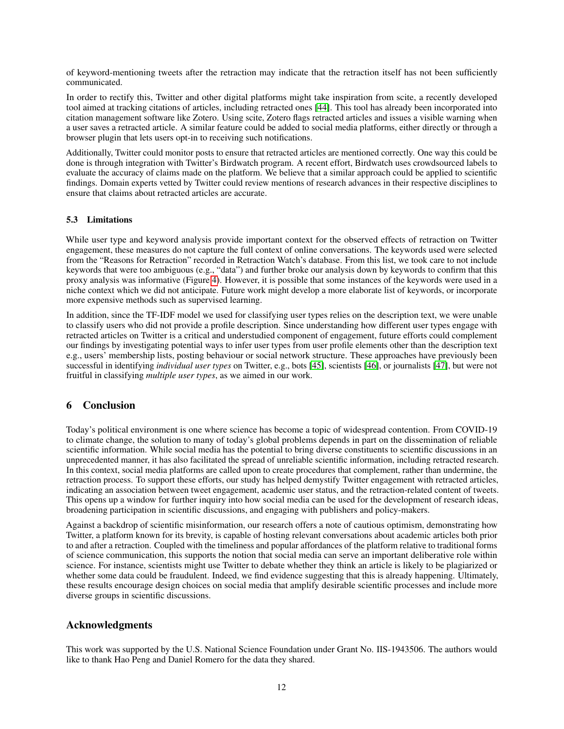of keyword-mentioning tweets after the retraction may indicate that the retraction itself has not been sufficiently communicated.

In order to rectify this, Twitter and other digital platforms might take inspiration from scite, a recently developed tool aimed at tracking citations of articles, including retracted ones [\[44\]](#page-13-19). This tool has already been incorporated into citation management software like Zotero. Using scite, Zotero flags retracted articles and issues a visible warning when a user saves a retracted article. A similar feature could be added to social media platforms, either directly or through a browser plugin that lets users opt-in to receiving such notifications.

Additionally, Twitter could monitor posts to ensure that retracted articles are mentioned correctly. One way this could be done is through integration with Twitter's Birdwatch program. A recent effort, Birdwatch uses crowdsourced labels to evaluate the accuracy of claims made on the platform. We believe that a similar approach could be applied to scientific findings. Domain experts vetted by Twitter could review mentions of research advances in their respective disciplines to ensure that claims about retracted articles are accurate.

### 5.3 Limitations

While user type and keyword analysis provide important context for the observed effects of retraction on Twitter engagement, these measures do not capture the full context of online conversations. The keywords used were selected from the "Reasons for Retraction" recorded in Retraction Watch's database. From this list, we took care to not include keywords that were too ambiguous (e.g., "data") and further broke our analysis down by keywords to confirm that this proxy analysis was informative (Figure [4\)](#page-8-0). However, it is possible that some instances of the keywords were used in a niche context which we did not anticipate. Future work might develop a more elaborate list of keywords, or incorporate more expensive methods such as supervised learning.

In addition, since the TF-IDF model we used for classifying user types relies on the description text, we were unable to classify users who did not provide a profile description. Since understanding how different user types engage with retracted articles on Twitter is a critical and understudied component of engagement, future efforts could complement our findings by investigating potential ways to infer user types from user profile elements other than the description text e.g., users' membership lists, posting behaviour or social network structure. These approaches have previously been successful in identifying *individual user types* on Twitter, e.g., bots [\[45\]](#page-13-20), scientists [\[46\]](#page-13-21), or journalists [\[47\]](#page-13-22), but were not fruitful in classifying *multiple user types*, as we aimed in our work.

# 6 Conclusion

Today's political environment is one where science has become a topic of widespread contention. From COVID-19 to climate change, the solution to many of today's global problems depends in part on the dissemination of reliable scientific information. While social media has the potential to bring diverse constituents to scientific discussions in an unprecedented manner, it has also facilitated the spread of unreliable scientific information, including retracted research. In this context, social media platforms are called upon to create procedures that complement, rather than undermine, the retraction process. To support these efforts, our study has helped demystify Twitter engagement with retracted articles, indicating an association between tweet engagement, academic user status, and the retraction-related content of tweets. This opens up a window for further inquiry into how social media can be used for the development of research ideas, broadening participation in scientific discussions, and engaging with publishers and policy-makers.

Against a backdrop of scientific misinformation, our research offers a note of cautious optimism, demonstrating how Twitter, a platform known for its brevity, is capable of hosting relevant conversations about academic articles both prior to and after a retraction. Coupled with the timeliness and popular affordances of the platform relative to traditional forms of science communication, this supports the notion that social media can serve an important deliberative role within science. For instance, scientists might use Twitter to debate whether they think an article is likely to be plagiarized or whether some data could be fraudulent. Indeed, we find evidence suggesting that this is already happening. Ultimately, these results encourage design choices on social media that amplify desirable scientific processes and include more diverse groups in scientific discussions.

# Acknowledgments

This work was supported by the U.S. National Science Foundation under Grant No. IIS-1943506. The authors would like to thank Hao Peng and Daniel Romero for the data they shared.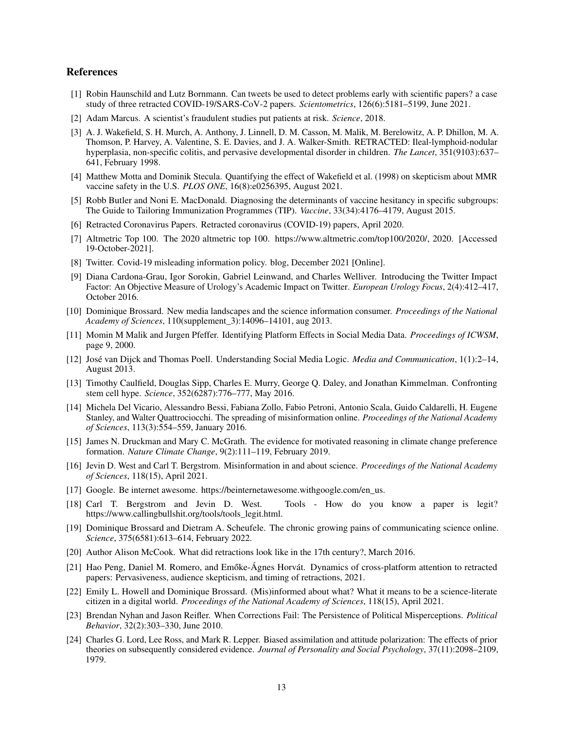# References

- <span id="page-12-0"></span>[1] Robin Haunschild and Lutz Bornmann. Can tweets be used to detect problems early with scientific papers? a case study of three retracted COVID-19/SARS-CoV-2 papers. *Scientometrics*, 126(6):5181–5199, June 2021.
- <span id="page-12-1"></span>[2] Adam Marcus. A scientist's fraudulent studies put patients at risk. *Science*, 2018.
- <span id="page-12-2"></span>[3] A. J. Wakefield, S. H. Murch, A. Anthony, J. Linnell, D. M. Casson, M. Malik, M. Berelowitz, A. P. Dhillon, M. A. Thomson, P. Harvey, A. Valentine, S. E. Davies, and J. A. Walker-Smith. RETRACTED: Ileal-lymphoid-nodular hyperplasia, non-specific colitis, and pervasive developmental disorder in children. *The Lancet*, 351(9103):637– 641, February 1998.
- <span id="page-12-3"></span>[4] Matthew Motta and Dominik Stecula. Quantifying the effect of Wakefield et al. (1998) on skepticism about MMR vaccine safety in the U.S. *PLOS ONE*, 16(8):e0256395, August 2021.
- <span id="page-12-4"></span>[5] Robb Butler and Noni E. MacDonald. Diagnosing the determinants of vaccine hesitancy in specific subgroups: The Guide to Tailoring Immunization Programmes (TIP). *Vaccine*, 33(34):4176–4179, August 2015.
- <span id="page-12-5"></span>[6] Retracted Coronavirus Papers. Retracted coronavirus (COVID-19) papers, April 2020.
- <span id="page-12-6"></span>[7] Altmetric Top 100. The 2020 altmetric top 100. https://www.altmetric.com/top100/2020/, 2020. [Accessed 19-October-2021].
- <span id="page-12-7"></span>[8] Twitter. Covid-19 misleading information policy. blog, December 2021 [Online].
- <span id="page-12-8"></span>[9] Diana Cardona-Grau, Igor Sorokin, Gabriel Leinwand, and Charles Welliver. Introducing the Twitter Impact Factor: An Objective Measure of Urology's Academic Impact on Twitter. *European Urology Focus*, 2(4):412–417, October 2016.
- <span id="page-12-9"></span>[10] Dominique Brossard. New media landscapes and the science information consumer. *Proceedings of the National Academy of Sciences*, 110(supplement\_3):14096–14101, aug 2013.
- <span id="page-12-10"></span>[11] Momin M Malik and Jurgen Pfeffer. Identifying Platform Effects in Social Media Data. *Proceedings of ICWSM*, page 9, 2000.
- <span id="page-12-11"></span>[12] José van Dijck and Thomas Poell. Understanding Social Media Logic. *Media and Communication*, 1(1):2–14, August 2013.
- <span id="page-12-12"></span>[13] Timothy Caulfield, Douglas Sipp, Charles E. Murry, George Q. Daley, and Jonathan Kimmelman. Confronting stem cell hype. *Science*, 352(6287):776–777, May 2016.
- <span id="page-12-13"></span>[14] Michela Del Vicario, Alessandro Bessi, Fabiana Zollo, Fabio Petroni, Antonio Scala, Guido Caldarelli, H. Eugene Stanley, and Walter Quattrociocchi. The spreading of misinformation online. *Proceedings of the National Academy of Sciences*, 113(3):554–559, January 2016.
- <span id="page-12-14"></span>[15] James N. Druckman and Mary C. McGrath. The evidence for motivated reasoning in climate change preference formation. *Nature Climate Change*, 9(2):111–119, February 2019.
- <span id="page-12-15"></span>[16] Jevin D. West and Carl T. Bergstrom. Misinformation in and about science. *Proceedings of the National Academy of Sciences*, 118(15), April 2021.
- <span id="page-12-16"></span>[17] Google. Be internet awesome. https://beinternetawesome.withgoogle.com/en\_us.
- <span id="page-12-17"></span>[18] Carl T. Bergstrom and Jevin D. West. Tools - How do you know a paper is legit? https://www.callingbullshit.org/tools/tools\_legit.html.
- <span id="page-12-18"></span>[19] Dominique Brossard and Dietram A. Scheufele. The chronic growing pains of communicating science online. *Science*, 375(6581):613–614, February 2022.
- <span id="page-12-19"></span>[20] Author Alison McCook. What did retractions look like in the 17th century?, March 2016.
- <span id="page-12-20"></span>[21] Hao Peng, Daniel M. Romero, and Emőke-Ágnes Horvát. Dynamics of cross-platform attention to retracted papers: Pervasiveness, audience skepticism, and timing of retractions, 2021.
- <span id="page-12-21"></span>[22] Emily L. Howell and Dominique Brossard. (Mis)informed about what? What it means to be a science-literate citizen in a digital world. *Proceedings of the National Academy of Sciences*, 118(15), April 2021.
- <span id="page-12-22"></span>[23] Brendan Nyhan and Jason Reifler. When Corrections Fail: The Persistence of Political Misperceptions. *Political Behavior*, 32(2):303–330, June 2010.
- <span id="page-12-23"></span>[24] Charles G. Lord, Lee Ross, and Mark R. Lepper. Biased assimilation and attitude polarization: The effects of prior theories on subsequently considered evidence. *Journal of Personality and Social Psychology*, 37(11):2098–2109, 1979.